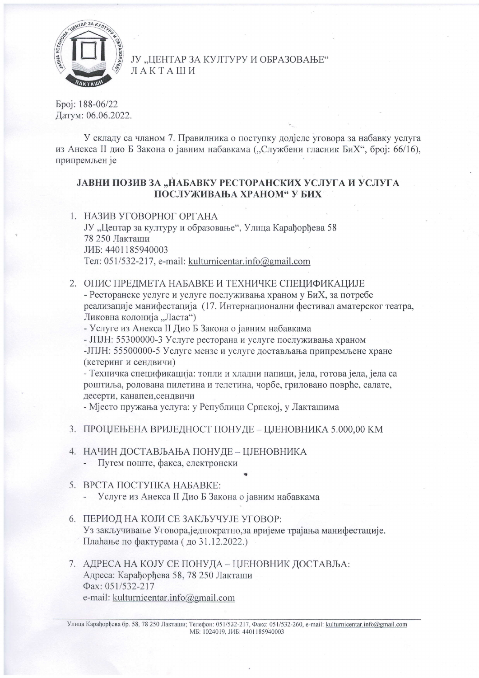

### ЈУ "ЦЕНТАР ЗА КУЛТУРУ И ОБРАЗОВАЊЕ" ЛАКТАШИ

Epoj: 188-06/22 Датум: 06.06.2022.

У складу са чланом 7. Правилника о поступку додјеле уговора за набавку услуга из Анекса II дио Б Закона о јавним набавкама ("Службени гласник БиХ", број: 66/16), припремљен је

# ЈАВНИ ПОЗИВ ЗА "НАБАВКУ РЕСТОРАНСКИХ УСЛУГА И УСЛУГА ПОСЛУЖИВАЊА ХРАНОМ" У БИХ

1. НАЗИВ УГОВОРНОГ ОРГАНА

ЈУ "Центар за културу и образовање", Улица Карађорђева 58 78 250 Лакташи JME: 4401185940003 Тел: 051/532-217, e-mail: kulturnicentar.info@gmail.com

### 2. ОПИС ПРЕДМЕТА НАБАВКЕ И ТЕХНИЧКЕ СПЕЦИФИКАЦИЈЕ

- Ресторанске услуге и услуге послуживања храном у БиХ, за потребе реализације манифестација (17. Интернационални фестивал аматерског театра, Ликовна колонија "Ласта")

- Услуге из Анекса II Дио Б Закона о јавним набавкама

- ЈПЈН: 55300000-3 Услуге ресторана и услуге послуживања храном

- ЛПЈН: 55500000-5 Услуге мензе и услуге достављања припремљене хране (кетеринг и сендвичи)

- Техничка спецификација: топли и хладни напици, јела, готова јела, јела са роштиља, ролована пилетина и телетина, чорбе, гриловано поврђе, салате, десерти, канапеи, сендвичи

- Мјесто пружања услуга: у Републици Српској, у Лакташима

- 3. ПРОЦЈЕЊЕНА ВРИЈЕДНОСТ ПОНУДЕ ЦЈЕНОВНИКА 5.000,00 КМ
- 4. НАЧИН ДОСТАВЉАЊА ПОНУДЕ ЦЈЕНОВНИКА - Путем поште, факса, електронски
- 5. ВРСТА ПОСТУПКА НАБАВКЕ:
	- Услуге из Анекса II Дио Б Закона о јавним набавкама
- 6. ПЕРИОД НА КОЈИ СЕ ЗАКЉУЧУЈЕ УГОВОР: Уз закључивање Уговора, једнократно, за вријеме трајања манифестације. Плаћање по фактурама (до 31.12.2022.)
- 7. АДРЕСА НА КОЈУ СЕ ПОНУДА ЦЈЕНОВНИК ДОСТАВЉА: Адреса: Карађорђева 58, 78 250 Лакташи Фах: 051/532-217 e-mail: kulturnicentar.info@gmail.com